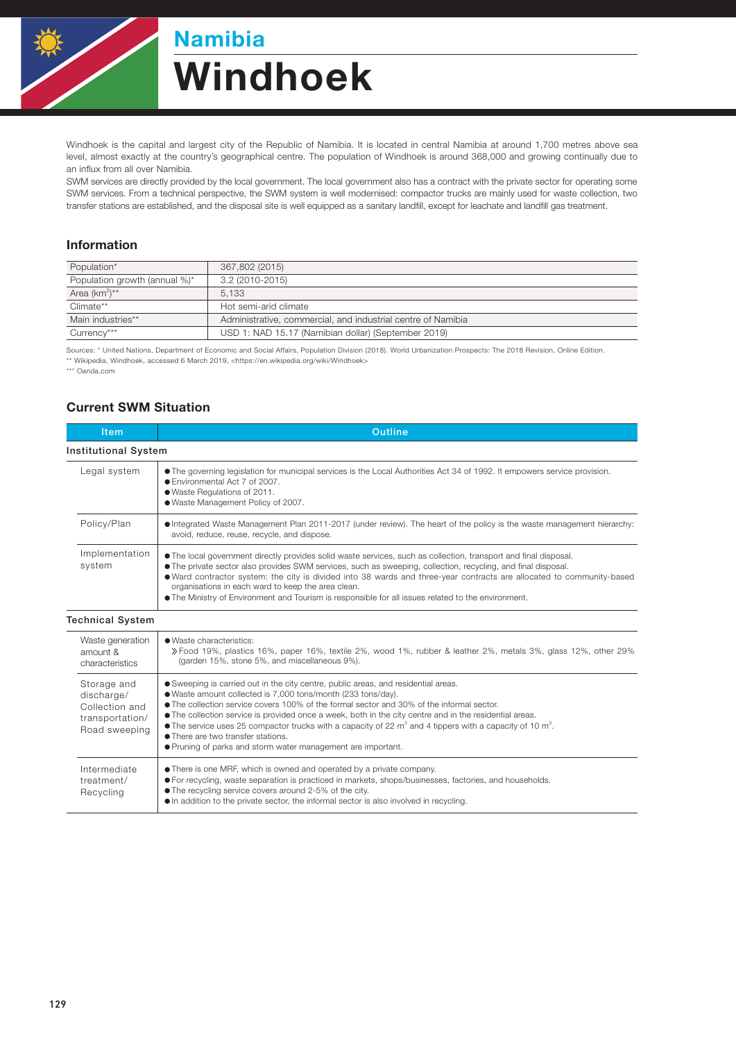

# Namibia Windhoek

Windhoek is the capital and largest city of the Republic of Namibia. It is located in central Namibia at around 1,700 metres above sea level, almost exactly at the country's geographical centre. The population of Windhoek is around 368,000 and growing continually due to an influx from all over Namibia.

SWM services are directly provided by the local government. The local government also has a contract with the private sector for operating some SWM services. From a technical perspective, the SWM system is well modernised: compactor trucks are mainly used for waste collection, two transfer stations are established, and the disposal site is well equipped as a sanitary landfill, except for leachate and landfill gas treatment.

#### Information

| Population*                   | 367,802 (2015)                                               |  |
|-------------------------------|--------------------------------------------------------------|--|
| Population growth (annual %)* | 3.2 (2010-2015)                                              |  |
| Area $(km^2)^{**}$            | 5.133                                                        |  |
| Climate**                     | Hot semi-arid climate                                        |  |
| Main industries**             | Administrative, commercial, and industrial centre of Namibia |  |
| Currency***                   | USD 1: NAD 15.17 (Namibian dollar) (September 2019)          |  |

Sources: \* United Nations, Department of Economic and Social Affairs, Population Division (2018). World Urbanization Prospects: The 2018 Revision, Online Edition. \*\* Wikipedia, Windhoek, accessed 6 March 2019, <https://en.wikipedia.org/wiki/Windhoek>

\*\*\* Oanda.com

### Current SWM Situation

| <b>Item</b>                                                                     | <b>Outline</b>                                                                                                                                                                                                                                                                                                                                                                                                                                                                                                                                                                     |  |  |  |
|---------------------------------------------------------------------------------|------------------------------------------------------------------------------------------------------------------------------------------------------------------------------------------------------------------------------------------------------------------------------------------------------------------------------------------------------------------------------------------------------------------------------------------------------------------------------------------------------------------------------------------------------------------------------------|--|--|--|
| <b>Institutional System</b>                                                     |                                                                                                                                                                                                                                                                                                                                                                                                                                                                                                                                                                                    |  |  |  |
| Legal system                                                                    | • The governing legislation for municipal services is the Local Authorities Act 34 of 1992. It empowers service provision.<br>● Environmental Act 7 of 2007.<br>· Waste Regulations of 2011.<br>. Waste Management Policy of 2007.                                                                                                                                                                                                                                                                                                                                                 |  |  |  |
| Policy/Plan                                                                     | • Integrated Waste Management Plan 2011-2017 (under review). The heart of the policy is the waste management hierarchy:<br>avoid, reduce, reuse, recycle, and dispose.                                                                                                                                                                                                                                                                                                                                                                                                             |  |  |  |
| Implementation<br>system                                                        | • The local government directly provides solid waste services, such as collection, transport and final disposal.<br>• The private sector also provides SWM services, such as sweeping, collection, recycling, and final disposal.<br>• Ward contractor system: the city is divided into 38 wards and three-year contracts are allocated to community-based<br>organisations in each ward to keep the area clean.<br>• The Ministry of Environment and Tourism is responsible for all issues related to the environment.                                                            |  |  |  |
| <b>Technical System</b>                                                         |                                                                                                                                                                                                                                                                                                                                                                                                                                                                                                                                                                                    |  |  |  |
| Waste generation<br>amount &<br>characteristics                                 | · Waste characteristics:<br>» Food 19%, plastics 16%, paper 16%, textile 2%, wood 1%, rubber & leather 2%, metals 3%, glass 12%, other 29%<br>(garden 15%, stone 5%, and miscellaneous 9%).                                                                                                                                                                                                                                                                                                                                                                                        |  |  |  |
| Storage and<br>discharge/<br>Collection and<br>transportation/<br>Road sweeping | • Sweeping is carried out in the city centre, public areas, and residential areas.<br>· Waste amount collected is 7,000 tons/month (233 tons/day).<br>• The collection service covers 100% of the formal sector and 30% of the informal sector.<br>• The collection service is provided once a week, both in the city centre and in the residential areas.<br>• The service uses 25 compactor trucks with a capacity of 22 $m^3$ and 4 tippers with a capacity of 10 $m^3$ .<br>• There are two transfer stations.<br>● Pruning of parks and storm water management are important. |  |  |  |
| Intermediate<br>treatment/<br>Recycling                                         | • There is one MRF, which is owned and operated by a private company.<br>• For recycling, waste separation is practiced in markets, shops/businesses, factories, and households.<br>• The recycling service covers around 2-5% of the city.<br>• In addition to the private sector, the informal sector is also involved in recycling.                                                                                                                                                                                                                                             |  |  |  |